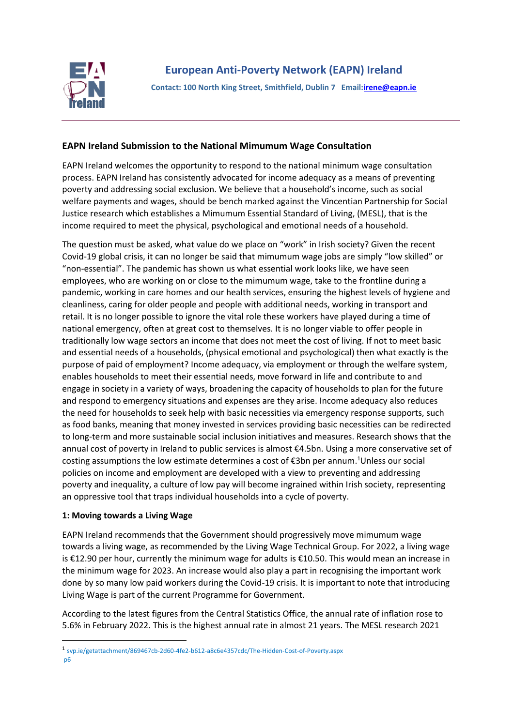

## **EAPN Ireland Submission to the National Mimumum Wage Consultation**

EAPN Ireland welcomes the opportunity to respond to the national minimum wage consultation process. EAPN Ireland has consistently advocated for income adequacy as a means of preventing poverty and addressing social exclusion. We believe that a household's income, such as social welfare payments and wages, should be bench marked against the Vincentian Partnership for Social Justice research which establishes a Mimumum Essential Standard of Living, (MESL), that is the income required to meet the physical, psychological and emotional needs of a household.

The question must be asked, what value do we place on "work" in Irish society? Given the recent Covid-19 global crisis, it can no longer be said that mimumum wage jobs are simply "low skilled" or "non-essential". The pandemic has shown us what essential work looks like, we have seen employees, who are working on or close to the mimumum wage, take to the frontline during a pandemic, working in care homes and our health services, ensuring the highest levels of hygiene and cleanliness, caring for older people and people with additional needs, working in transport and retail. It is no longer possible to ignore the vital role these workers have played during a time of national emergency, often at great cost to themselves. It is no longer viable to offer people in traditionally low wage sectors an income that does not meet the cost of living. If not to meet basic and essential needs of a households, (physical emotional and psychological) then what exactly is the purpose of paid of employment? Income adequacy, via employment or through the welfare system, enables households to meet their essential needs, move forward in life and contribute to and engage in society in a variety of ways, broadening the capacity of households to plan for the future and respond to emergency situations and expenses are they arise. Income adequacy also reduces the need for households to seek help with basic necessities via emergency response supports, such as food banks, meaning that money invested in services providing basic necessities can be redirected to long-term and more sustainable social inclusion initiatives and measures. Research shows that the annual cost of poverty in Ireland to public services is almost €4.5bn. Using a more conservative set of costing assumptions the low estimate determines a cost of  $\epsilon$ 3bn per annum.<sup>1</sup>Unless our social policies on income and employment are developed with a view to preventing and addressing poverty and inequality, a culture of low pay will become ingrained within Irish society, representing an oppressive tool that traps individual households into a cycle of poverty.

## **1: Moving towards a Living Wage**

EAPN Ireland recommends that the Government should progressively move mimumum wage towards a living wage, as recommended by the Living Wage Technical Group. For 2022, a living wage is €12.90 per hour, currently the minimum wage for adults is €10.50. This would mean an increase in the minimum wage for 2023. An increase would also play a part in recognising the important work done by so many low paid workers during the Covid-19 crisis. It is important to note that introducing Living Wage is part of the current Programme for Government.

According to the latest figures from the Central Statistics Office, the annual rate of inflation rose to 5.6% in February 2022. This is the highest annual rate in almost 21 years. The MESL research 2021

<sup>1</sup> svp.ie/getattachment/869467cb-2d60-4fe2-b612-a8c6e4357cdc/The-Hidden-Cost-of-Poverty.aspx p6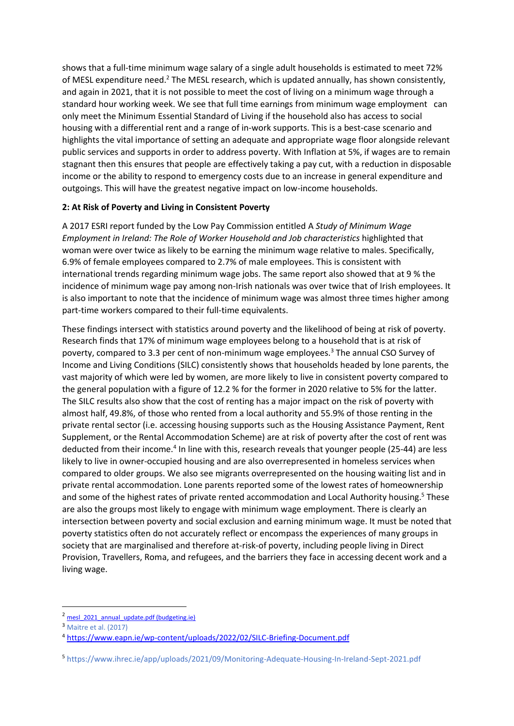shows that a full-time minimum wage salary of a single adult households is estimated to meet 72% of MESL expenditure need.<sup>2</sup> The MESL research, which is updated annually, has shown consistently, and again in 2021, that it is not possible to meet the cost of living on a minimum wage through a standard hour working week. We see that full time earnings from minimum wage employment can only meet the Minimum Essential Standard of Living if the household also has access to social housing with a differential rent and a range of in-work supports. This is a best-case scenario and highlights the vital importance of setting an adequate and appropriate wage floor alongside relevant public services and supports in order to address poverty. With Inflation at 5%, if wages are to remain stagnant then this ensures that people are effectively taking a pay cut, with a reduction in disposable income or the ability to respond to emergency costs due to an increase in general expenditure and outgoings. This will have the greatest negative impact on low-income households.

## **2: At Risk of Poverty and Living in Consistent Poverty**

A 2017 ESRI report funded by the Low Pay Commission entitled A *Study of Minimum Wage Employment in Ireland: The Role of Worker Household and Job characteristics* highlighted that woman were over twice as likely to be earning the minimum wage relative to males. Specifically, 6.9% of female employees compared to 2.7% of male employees. This is consistent with international trends regarding minimum wage jobs. The same report also showed that at 9 % the incidence of minimum wage pay among non-Irish nationals was over twice that of Irish employees. It is also important to note that the incidence of minimum wage was almost three times higher among part-time workers compared to their full-time equivalents.

These findings intersect with statistics around poverty and the likelihood of being at risk of poverty. Research finds that 17% of minimum wage employees belong to a household that is at risk of poverty, compared to 3.3 per cent of non-minimum wage employees.<sup>3</sup> The annual CSO Survey of Income and Living Conditions (SILC) consistently shows that households headed by lone parents, the vast majority of which were led by women, are more likely to live in consistent poverty compared to the general population with a figure of 12.2 % for the former in 2020 relative to 5% for the latter. The SILC results also show that the cost of renting has a major impact on the risk of poverty with almost half, 49.8%, of those who rented from a local authority and 55.9% of those renting in the private rental sector (i.e. accessing housing supports such as the Housing Assistance Payment, Rent Supplement, or the Rental Accommodation Scheme) are at risk of poverty after the cost of rent was deducted from their income.<sup>4</sup> In line with this, research reveals that younger people (25-44) are less likely to live in owner-occupied housing and are also overrepresented in homeless services when compared to older groups. We also see migrants overrepresented on the housing waiting list and in private rental accommodation. Lone parents reported some of the lowest rates of homeownership and some of the highest rates of private rented accommodation and Local Authority housing.<sup>5</sup> These are also the groups most likely to engage with minimum wage employment. There is clearly an intersection between poverty and social exclusion and earning minimum wage. It must be noted that poverty statistics often do not accurately reflect or encompass the experiences of many groups in society that are marginalised and therefore at-risk-of poverty, including people living in Direct Provision, Travellers, Roma, and refugees, and the barriers they face in accessing decent work and a living wage.

<sup>&</sup>lt;sup>2</sup> mesl 2021 annual update.pdf (budgeting.ie)

<sup>3</sup> Maitre et al. (2017)

<sup>4</sup> <https://www.eapn.ie/wp-content/uploads/2022/02/SILC-Briefing-Document.pdf>

<sup>5</sup> https://www.ihrec.ie/app/uploads/2021/09/Monitoring-Adequate-Housing-In-Ireland-Sept-2021.pdf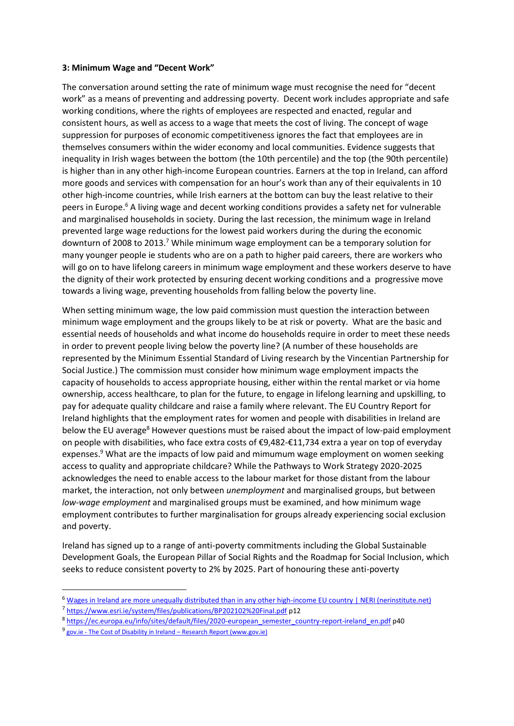## **3: Minimum Wage and "Decent Work"**

The conversation around setting the rate of minimum wage must recognise the need for "decent work" as a means of preventing and addressing poverty. Decent work includes appropriate and safe working conditions, where the rights of employees are respected and enacted, regular and consistent hours, as well as access to a wage that meets the cost of living. The concept of wage suppression for purposes of economic competitiveness ignores the fact that employees are in themselves consumers within the wider economy and local communities. Evidence suggests that inequality in Irish wages between the bottom (the 10th percentile) and the top (the 90th percentile) is higher than in any other high-income European countries. Earners at the top in Ireland, can afford more goods and services with compensation for an hour's work than any of their equivalents in 10 other high-income countries, while Irish earners at the bottom can buy the least relative to their peers in Europe.<sup>6</sup> A living wage and decent working conditions provides a safety net for vulnerable and marginalised households in society. During the last recession, the minimum wage in Ireland prevented large wage reductions for the lowest paid workers during the during the economic downturn of 2008 to 2013.<sup>7</sup> While minimum wage employment can be a temporary solution for many younger people ie students who are on a path to higher paid careers, there are workers who will go on to have lifelong careers in minimum wage employment and these workers deserve to have the dignity of their work protected by ensuring decent working conditions and a progressive move towards a living wage, preventing households from falling below the poverty line.

When setting minimum wage, the low paid commission must question the interaction between minimum wage employment and the groups likely to be at risk or poverty. What are the basic and essential needs of households and what income do households require in order to meet these needs in order to prevent people living below the poverty line? (A number of these households are represented by the Minimum Essential Standard of Living research by the Vincentian Partnership for Social Justice.) The commission must consider how minimum wage employment impacts the capacity of households to access appropriate housing, either within the rental market or via home ownership, access healthcare, to plan for the future, to engage in lifelong learning and upskilling, to pay for adequate quality childcare and raise a family where relevant. The EU Country Report for Ireland highlights that the employment rates for women and people with disabilities in Ireland are below the EU average<sup>8</sup> However questions must be raised about the impact of low-paid employment on people with disabilities, who face extra costs of €9,482-€11,734 extra a year on top of everyday expenses.<sup>9</sup> What are the impacts of low paid and mimumum wage employment on women seeking access to quality and appropriate childcare? While the Pathways to Work Strategy 2020-2025 acknowledges the need to enable access to the labour market for those distant from the labour market, the interaction, not only between *unemployment* and marginalised groups, but between *low-wage employment* and marginalised groups must be examined, and how minimum wage employment contributes to further marginalisation for groups already experiencing social exclusion and poverty.

Ireland has signed up to a range of anti-poverty commitments including the Global Sustainable Development Goals, the European Pillar of Social Rights and the Roadmap for Social Inclusion, which seeks to reduce consistent poverty to 2% by 2025. Part of honouring these anti-poverty

<sup>6</sup> [Wages in Ireland are more unequally distributed than in any other high-income EU country | NERI \(nerinstitute.net\)](https://www.nerinstitute.net/blog/wages-ireland-are-more-unequally-distributed-any-other-high-income-eu-country)

<sup>7</sup> <https://www.esri.ie/system/files/publications/BP202102%20Final.pdf> p12

<sup>8</sup> [https://ec.europa.eu/info/sites/default/files/2020-european\\_semester\\_country-report-ireland\\_en.pdf](https://ec.europa.eu/info/sites/default/files/2020-european_semester_country-report-ireland_en.pdf) p40

<sup>&</sup>lt;sup>9</sup> gov.ie - [The Cost of Disability in Ireland](https://www.gov.ie/en/publication/1d84e-the-cost-of-disability-in-ireland-research-report/) – Research Report (www.gov.ie)